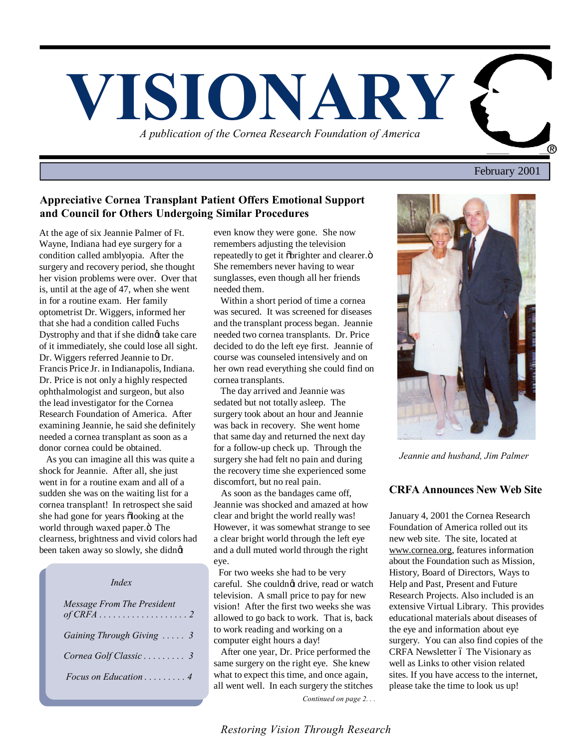

February 2001

## **Appreciative Cornea Transplant Patient Offers Emotional Support and Council for Others Undergoing Similar Procedures**

At the age of six Jeannie Palmer of Ft. Wayne, Indiana had eye surgery for a condition called amblyopia. After the surgery and recovery period, she thought her vision problems were over. Over that is, until at the age of 47, when she went in for a routine exam. Her family optometrist Dr. Wiggers, informed her that she had a condition called Fuchs Dystrophy and that if she didnet take care of it immediately, she could lose all sight. Dr. Wiggers referred Jeannie to Dr. Francis Price Jr. in Indianapolis, Indiana. Dr. Price is not only a highly respected ophthalmologist and surgeon, but also the lead investigator for the Cornea Research Foundation of America. After examining Jeannie, he said she definitely needed a cornea transplant as soon as a donor cornea could be obtained.

 As you can imagine all this was quite a shock for Jeannie. After all, she just went in for a routine exam and all of a sudden she was on the waiting list for a cornea transplant! In retrospect she said she had gone for years  $\delta$ looking at the world through waxed paper. $\ddot{\text{o}}$  The clearness, brightness and vivid colors had been taken away so slowly, she didnøt

| Index                              |
|------------------------------------|
| Message From The President         |
| Gaining Through Giving  3          |
| Cornea Golf Classic 3              |
| Focus on Education $\ldots \ldots$ |

even know they were gone. She now remembers adjusting the television repeatedly to get it  $\delta$ brighter and clearer. $\ddot{\text{o}}$ She remembers never having to wear sunglasses, even though all her friends needed them.

 Within a short period of time a cornea was secured. It was screened for diseases and the transplant process began. Jeannie needed two cornea transplants. Dr. Price decided to do the left eye first. Jeannie of course was counseled intensively and on her own read everything she could find on cornea transplants.

 The day arrived and Jeannie was sedated but not totally asleep. The surgery took about an hour and Jeannie was back in recovery. She went home that same day and returned the next day for a follow-up check up. Through the surgery she had felt no pain and during the recovery time she experienced some discomfort, but no real pain.

 As soon as the bandages came off, Jeannie was shocked and amazed at how clear and bright the world really was! However, it was somewhat strange to see a clear bright world through the left eye and a dull muted world through the right eye.

 For two weeks she had to be very careful. She couldnot drive, read or watch television. A small price to pay for new vision! After the first two weeks she was allowed to go back to work. That is, back to work reading and working on a computer eight hours a day!

 After one year, Dr. Price performed the same surgery on the right eye. She knew what to expect this time, and once again, all went well. In each surgery the stitches  *Continued on page 2. . .*



*Jeannie and husband, Jim Palmer*

# **CRFA Announces New Web Site**

January 4, 2001 the Cornea Research Foundation of America rolled out its new web site. The site, located at www.cornea.org, features information about the Foundation such as Mission, History, Board of Directors, Ways to Help and Past, Present and Future Research Projects. Also included is an extensive Virtual Library. This provides educational materials about diseases of the eye and information about eye surgery. You can also find copies of the CRFA Newsletter ó The Visionary as well as Links to other vision related sites. If you have access to the internet, please take the time to look us up!

*Restoring Vision Through Research*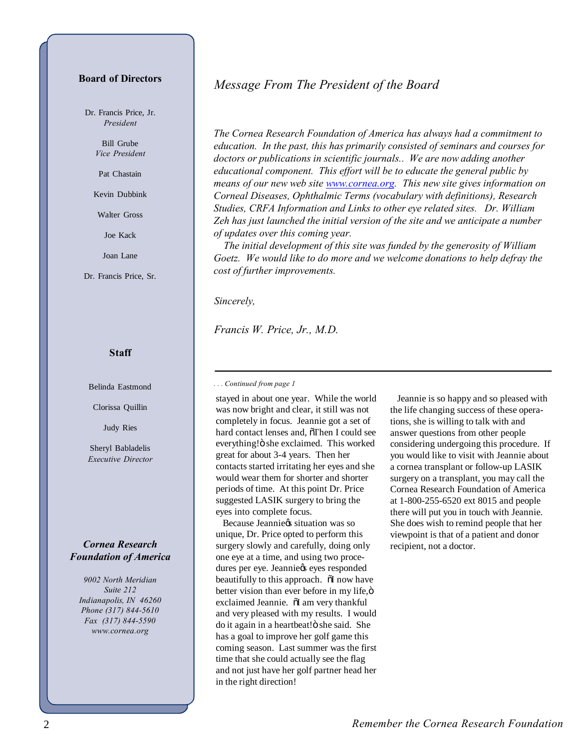## **Board of Directors**

Dr. Francis Price, Jr. *President*

> Bill Grube *Vice President*

Pat Chastain

Kevin Dubbink

Walter Gross

Joe Kack

Joan Lane

Dr. Francis Price, Sr.

#### **Staff**

Belinda Eastmond

Clorissa Quillin

Judy Ries

Sheryl Babladelis *Executive Director*

## *Cornea Research Foundation of America*

*9002 North Meridian Suite 212 Indianapolis, IN 46260 Phone (317) 844-5610 Fax (317) 844-5590 www.cornea.org*

# *Message From The President of the Board*

*The Cornea Research Foundation of America has always had a commitment to education. In the past, this has primarily consisted of seminars and courses for doctors or publications in scientific journals.. We are now adding another educational component. This effort will be to educate the general public by means of our new web site www.cornea.org. This new site gives information on Corneal Diseases, Ophthalmic Terms (vocabulary with definitions), Research Studies, CRFA Information and Links to other eye related sites. Dr. William Zeh has just launched the initial version of the site and we anticipate a number of updates over this coming year.*

 *The initial development of this site was funded by the generosity of William Goetz. We would like to do more and we welcome donations to help defray the cost of further improvements.*

*Sincerely,*

*Francis W. Price, Jr., M.D.*

*. . . Continued from page 1*

stayed in about one year. While the world was now bright and clear, it still was not completely in focus. Jeannie got a set of hard contact lenses and, öThen I could see everything!" she exclaimed. This worked great for about 3-4 years. Then her contacts started irritating her eyes and she would wear them for shorter and shorter periods of time. At this point Dr. Price suggested LASIK surgery to bring the eyes into complete focus.

Because Jeanniegs situation was so unique, Dr. Price opted to perform this surgery slowly and carefully, doing only one eye at a time, and using two procedures per eye. Jeannie $\circ$ s eyes responded beautifully to this approach.  $\tilde{o}$ I now have better vision than ever before in my life, ö exclaimed Jeannie.  $\tilde{o}I$  am very thankful and very pleased with my results. I would do it again in a heartbeat!" she said. She has a goal to improve her golf game this coming season. Last summer was the first time that she could actually see the flag and not just have her golf partner head her in the right direction!

 Jeannie is so happy and so pleased with the life changing success of these operations, she is willing to talk with and answer questions from other people considering undergoing this procedure. If you would like to visit with Jeannie about a cornea transplant or follow-up LASIK surgery on a transplant, you may call the Cornea Research Foundation of America at 1-800-255-6520 ext 8015 and people there will put you in touch with Jeannie. She does wish to remind people that her viewpoint is that of a patient and donor recipient, not a doctor.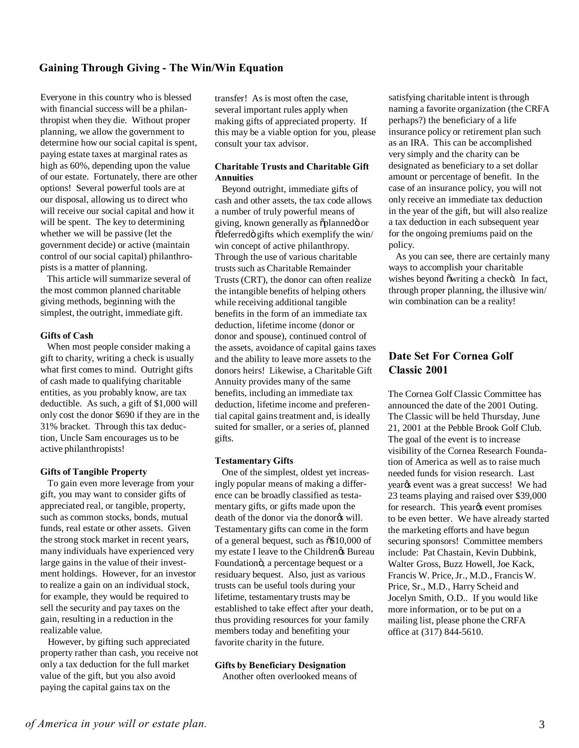# **Gaining Through Giving - The Win/Win Equation**

Everyone in this country who is blessed with financial success will be a philanthropist when they die. Without proper planning, we allow the government to determine how our social capital is spent, paying estate taxes at marginal rates as high as 60%, depending upon the value of our estate. Fortunately, there are other options! Several powerful tools are at our disposal, allowing us to direct who will receive our social capital and how it will be spent. The key to determining whether we will be passive (let the government decide) or active (maintain control of our social capital) philanthropists is a matter of planning.

 This article will summarize several of the most common planned charitable giving methods, beginning with the simplest, the outright, immediate gift.

### **Gifts of Cash**

 When most people consider making a gift to charity, writing a check is usually what first comes to mind. Outright gifts of cash made to qualifying charitable entities, as you probably know, are tax deductible. As such, a gift of \$1,000 will only cost the donor \$690 if they are in the 31% bracket. Through this tax deduction, Uncle Sam encourages us to be active philanthropists!

#### **Gifts of Tangible Property**

 To gain even more leverage from your gift, you may want to consider gifts of appreciated real, or tangible, property, such as common stocks, bonds, mutual funds, real estate or other assets. Given the strong stock market in recent years, many individuals have experienced very large gains in the value of their investment holdings. However, for an investor to realize a gain on an individual stock, for example, they would be required to sell the security and pay taxes on the gain, resulting in a reduction in the realizable value.

 However, by gifting such appreciated property rather than cash, you receive not only a tax deduction for the full market value of the gift, but you also avoid paying the capital gains tax on the

transfer! As is most often the case, several important rules apply when making gifts of appreciated property. If this may be a viable option for you, please consult your tax advisor.

### **Charitable Trusts and Charitable Gift Annuities**

 Beyond outright, immediate gifts of cash and other assets, the tax code allows a number of truly powerful means of giving, known generally as õplannedö or  $\delta$ deferred $\delta$  gifts which exemplify the win/ win concept of active philanthropy. Through the use of various charitable trusts such as Charitable Remainder Trusts (CRT), the donor can often realize the intangible benefits of helping others while receiving additional tangible benefits in the form of an immediate tax deduction, lifetime income (donor or donor and spouse), continued control of the assets, avoidance of capital gains taxes and the ability to leave more assets to the donors heirs! Likewise, a Charitable Gift Annuity provides many of the same benefits, including an immediate tax deduction, lifetime income and preferential capital gains treatment and, is ideally suited for smaller, or a series of, planned gifts.

#### **Testamentary Gifts**

 One of the simplest, oldest yet increasingly popular means of making a difference can be broadly classified as testamentary gifts, or gifts made upon the death of the donor via the donor<sub>®</sub> will. Testamentary gifts can come in the form of a general bequest, such as  $\delta \$10,000$  of my estate I leave to the Children $\alpha$  Bureau Foundation<sub>o</sub>, a percentage bequest or a residuary bequest. Also, just as various trusts can be useful tools during your lifetime, testamentary trusts may be established to take effect after your death, thus providing resources for your family members today and benefiting your favorite charity in the future.

#### **Gifts by Beneficiary Designation**

Another often overlooked means of

satisfying charitable intent is through naming a favorite organization (the CRFA perhaps?) the beneficiary of a life insurance policy or retirement plan such as an IRA. This can be accomplished very simply and the charity can be designated as beneficiary to a set dollar amount or percentage of benefit. In the case of an insurance policy, you will not only receive an immediate tax deduction in the year of the gift, but will also realize a tax deduction in each subsequent year for the ongoing premiums paid on the policy.

 As you can see, there are certainly many ways to accomplish your charitable wishes beyond õ writing a checko. In fact, through proper planning, the illusive win/ win combination can be a reality!

# **Date Set For Cornea Golf Classic 2001**

The Cornea Golf Classic Committee has announced the date of the 2001 Outing. The Classic will be held Thursday, June 21, 2001 at the Pebble Brook Golf Club. The goal of the event is to increase visibility of the Cornea Research Foundation of America as well as to raise much needed funds for vision research. Last yearøs event was a great success! We had 23 teams playing and raised over \$39,000 for research. This yearys event promises to be even better. We have already started the marketing efforts and have begun securing sponsors! Committee members include: Pat Chastain, Kevin Dubbink, Walter Gross, Buzz Howell, Joe Kack, Francis W. Price, Jr., M.D., Francis W. Price, Sr., M.D., Harry Scheid and Jocelyn Smith, O.D.. If you would like more information, or to be put on a mailing list, please phone the CRFA office at (317) 844-5610.